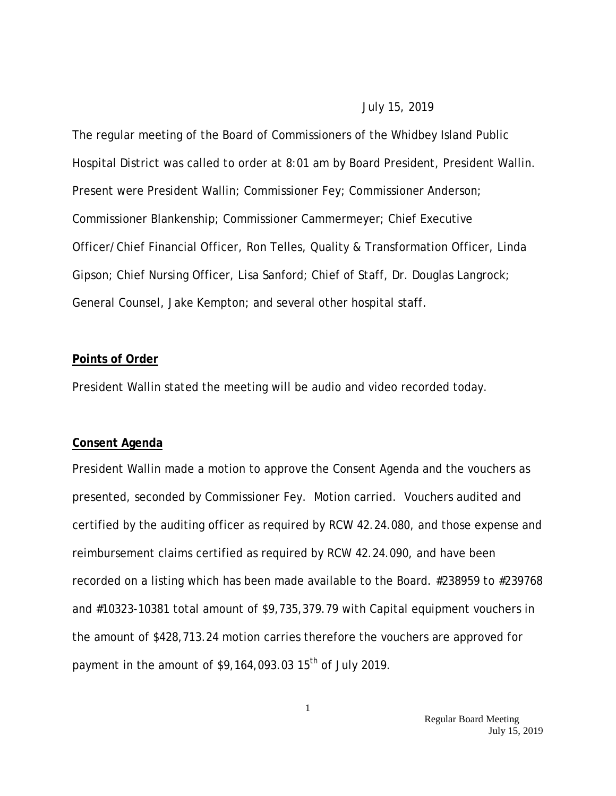#### July 15, 2019

The regular meeting of the Board of Commissioners of the Whidbey Island Public Hospital District was called to order at 8:01 am by Board President, President Wallin. Present were President Wallin; Commissioner Fey; Commissioner Anderson; Commissioner Blankenship; Commissioner Cammermeyer; Chief Executive Officer/Chief Financial Officer, Ron Telles, Quality & Transformation Officer, Linda Gipson; Chief Nursing Officer, Lisa Sanford; Chief of Staff, Dr. Douglas Langrock; General Counsel, Jake Kempton; and several other hospital staff.

## **Points of Order**

President Wallin stated the meeting will be audio and video recorded today.

#### **Consent Agenda**

President Wallin made a motion to approve the Consent Agenda and the vouchers as presented, seconded by Commissioner Fey. Motion carried. Vouchers audited and certified by the auditing officer as required by RCW 42.24.080, and those expense and reimbursement claims certified as required by RCW 42.24.090, and have been recorded on a listing which has been made available to the Board. #238959 to #239768 and #10323-10381 total amount of \$9,735,379.79 with Capital equipment vouchers in the amount of \$428,713.24 motion carries therefore the vouchers are approved for payment in the amount of  $$9,164,093.0315$ <sup>th</sup> of July 2019.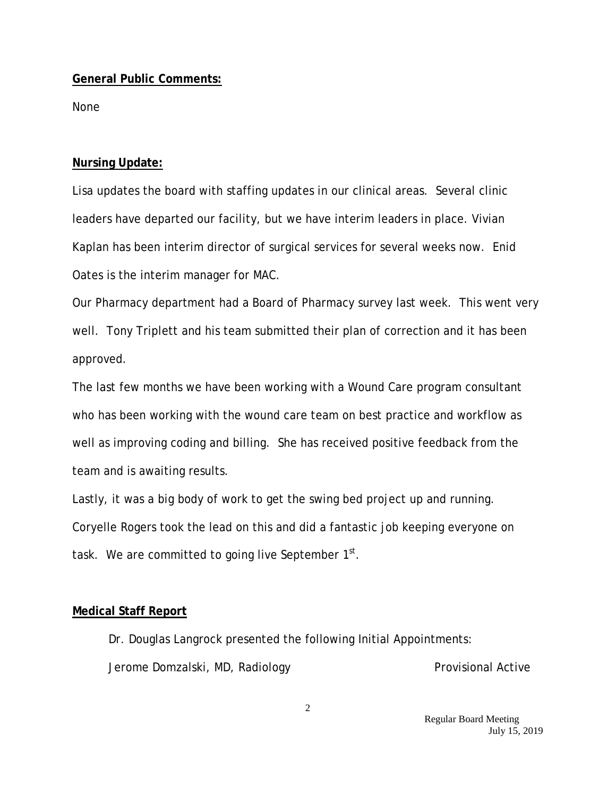## **General Public Comments:**

None

## **Nursing Update:**

Lisa updates the board with staffing updates in our clinical areas. Several clinic leaders have departed our facility, but we have interim leaders in place. Vivian Kaplan has been interim director of surgical services for several weeks now. Enid Oates is the interim manager for MAC.

Our Pharmacy department had a Board of Pharmacy survey last week. This went very well. Tony Triplett and his team submitted their plan of correction and it has been approved.

The last few months we have been working with a Wound Care program consultant who has been working with the wound care team on best practice and workflow as well as improving coding and billing. She has received positive feedback from the team and is awaiting results.

Lastly, it was a big body of work to get the swing bed project up and running. Coryelle Rogers took the lead on this and did a fantastic job keeping everyone on task. We are committed to going live September  $1<sup>st</sup>$ .

### **Medical Staff Report**

Dr. Douglas Langrock presented the following Initial Appointments: Jerome Domzalski, MD, Radiology **Provisional Active** 

> Regular Board Meeting July 15, 2019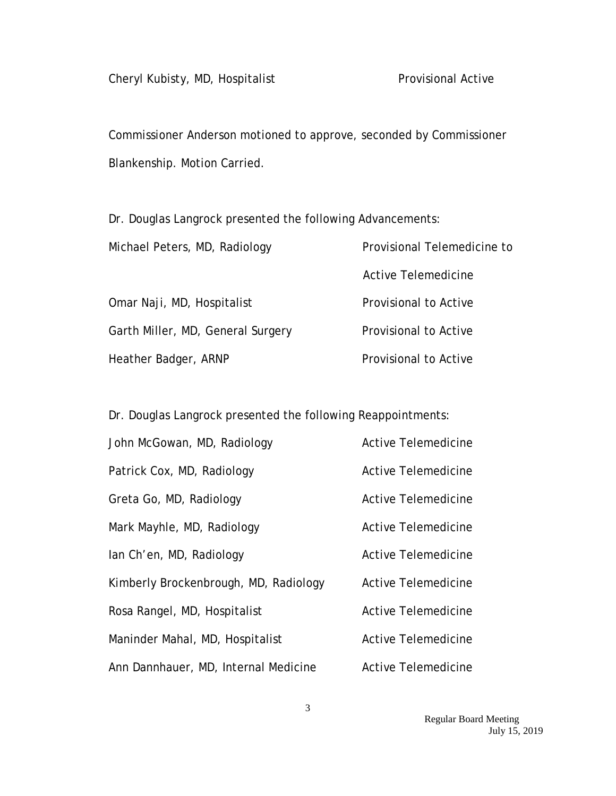Commissioner Anderson motioned to approve, seconded by Commissioner Blankenship. Motion Carried.

Dr. Douglas Langrock presented the following Advancements:

| Michael Peters, MD, Radiology     | Provisional Telemedicine to  |
|-----------------------------------|------------------------------|
|                                   | Active Telemedicine          |
| Omar Naji, MD, Hospitalist        | <b>Provisional to Active</b> |
| Garth Miller, MD, General Surgery | <b>Provisional to Active</b> |
| Heather Badger, ARNP              | Provisional to Active        |

Dr. Douglas Langrock presented the following Reappointments:

| John McGowan, MD, Radiology           | Active Telemedicine        |
|---------------------------------------|----------------------------|
| Patrick Cox, MD, Radiology            | Active Telemedicine        |
| Greta Go, MD, Radiology               | Active Telemedicine        |
| Mark Mayhle, MD, Radiology            | Active Telemedicine        |
| lan Ch'en, MD, Radiology              | Active Telemedicine        |
| Kimberly Brockenbrough, MD, Radiology | Active Telemedicine        |
| Rosa Rangel, MD, Hospitalist          | Active Telemedicine        |
| Maninder Mahal, MD, Hospitalist       | <b>Active Telemedicine</b> |
| Ann Dannhauer, MD, Internal Medicine  | Active Telemedicine        |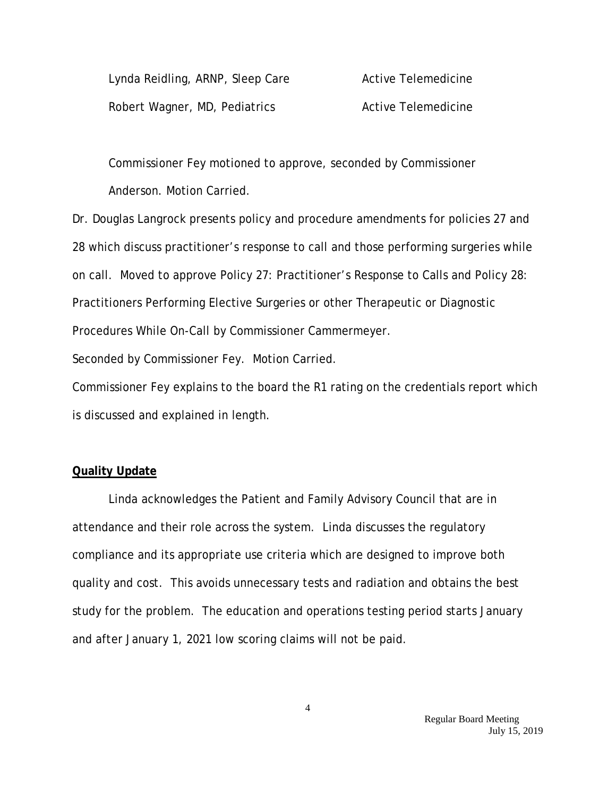| Lynda Reidling, ARNP, Sleep Care | Active Telemedicine |
|----------------------------------|---------------------|
| Robert Wagner, MD, Pediatrics    | Active Telemedicine |

Commissioner Fey motioned to approve, seconded by Commissioner Anderson. Motion Carried.

Dr. Douglas Langrock presents policy and procedure amendments for policies 27 and 28 which discuss practitioner's response to call and those performing surgeries while on call. Moved to approve Policy 27: Practitioner's Response to Calls and Policy 28: Practitioners Performing Elective Surgeries or other Therapeutic or Diagnostic Procedures While On-Call by Commissioner Cammermeyer. Seconded by Commissioner Fey. Motion Carried.

Commissioner Fey explains to the board the R1 rating on the credentials report which is discussed and explained in length.

### **Quality Update**

Linda acknowledges the Patient and Family Advisory Council that are in attendance and their role across the system. Linda discusses the regulatory compliance and its appropriate use criteria which are designed to improve both quality and cost. This avoids unnecessary tests and radiation and obtains the best study for the problem. The education and operations testing period starts January and after January 1, 2021 low scoring claims will not be paid.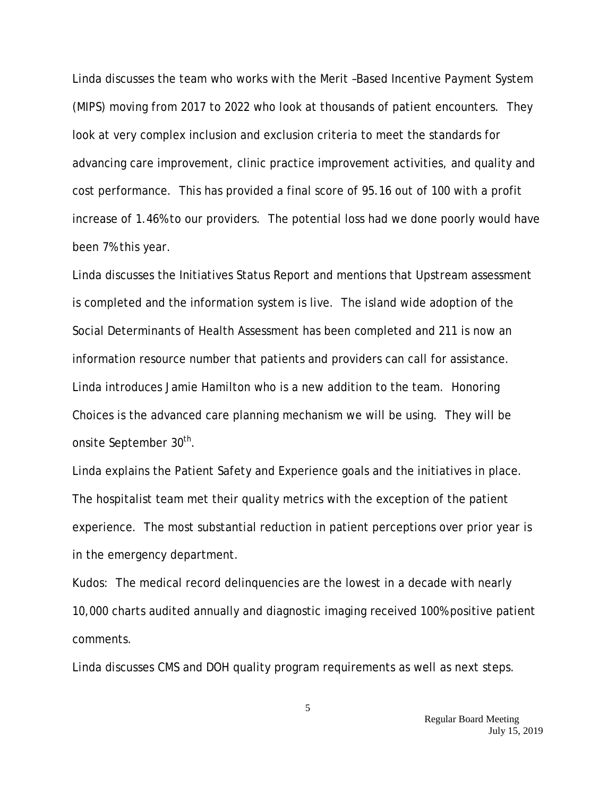Linda discusses the team who works with the Merit –Based Incentive Payment System (MIPS) moving from 2017 to 2022 who look at thousands of patient encounters. They look at very complex inclusion and exclusion criteria to meet the standards for advancing care improvement, clinic practice improvement activities, and quality and cost performance. This has provided a final score of 95.16 out of 100 with a profit increase of 1.46% to our providers. The potential loss had we done poorly would have been 7% this year.

Linda discusses the Initiatives Status Report and mentions that Upstream assessment is completed and the information system is live. The island wide adoption of the Social Determinants of Health Assessment has been completed and 211 is now an information resource number that patients and providers can call for assistance. Linda introduces Jamie Hamilton who is a new addition to the team. Honoring Choices is the advanced care planning mechanism we will be using. They will be onsite September 30<sup>th</sup>.

Linda explains the Patient Safety and Experience goals and the initiatives in place. The hospitalist team met their quality metrics with the exception of the patient experience. The most substantial reduction in patient perceptions over prior year is in the emergency department.

Kudos: The medical record delinquencies are the lowest in a decade with nearly 10,000 charts audited annually and diagnostic imaging received 100% positive patient comments.

Linda discusses CMS and DOH quality program requirements as well as next steps.

5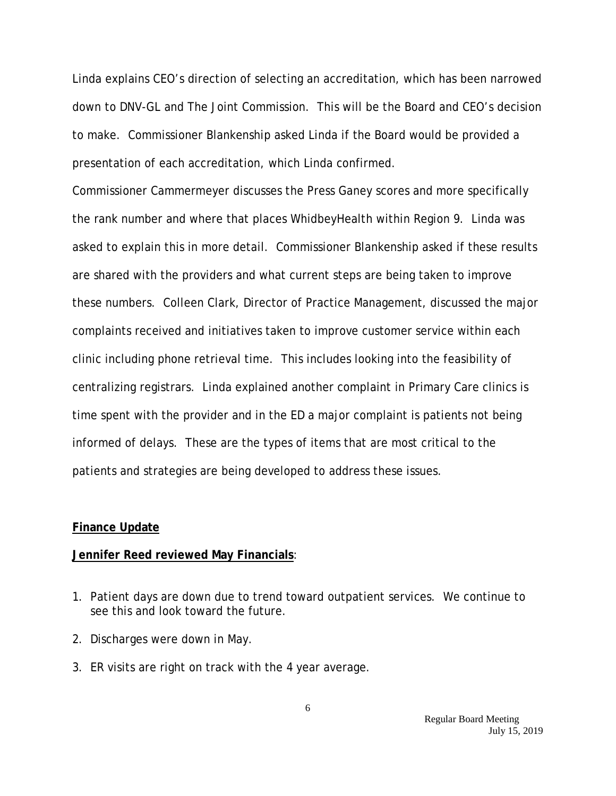Linda explains CEO's direction of selecting an accreditation, which has been narrowed down to DNV-GL and The Joint Commission. This will be the Board and CEO's decision to make. Commissioner Blankenship asked Linda if the Board would be provided a presentation of each accreditation, which Linda confirmed.

Commissioner Cammermeyer discusses the Press Ganey scores and more specifically the rank number and where that places WhidbeyHealth within Region 9. Linda was asked to explain this in more detail. Commissioner Blankenship asked if these results are shared with the providers and what current steps are being taken to improve these numbers. Colleen Clark, Director of Practice Management, discussed the major complaints received and initiatives taken to improve customer service within each clinic including phone retrieval time. This includes looking into the feasibility of centralizing registrars. Linda explained another complaint in Primary Care clinics is time spent with the provider and in the ED a major complaint is patients not being informed of delays. These are the types of items that are most critical to the patients and strategies are being developed to address these issues.

#### **Finance Update**

#### **Jennifer Reed reviewed May Financials**:

- 1. Patient days are down due to trend toward outpatient services. We continue to see this and look toward the future.
- 2. Discharges were down in May.
- 3. ER visits are right on track with the 4 year average.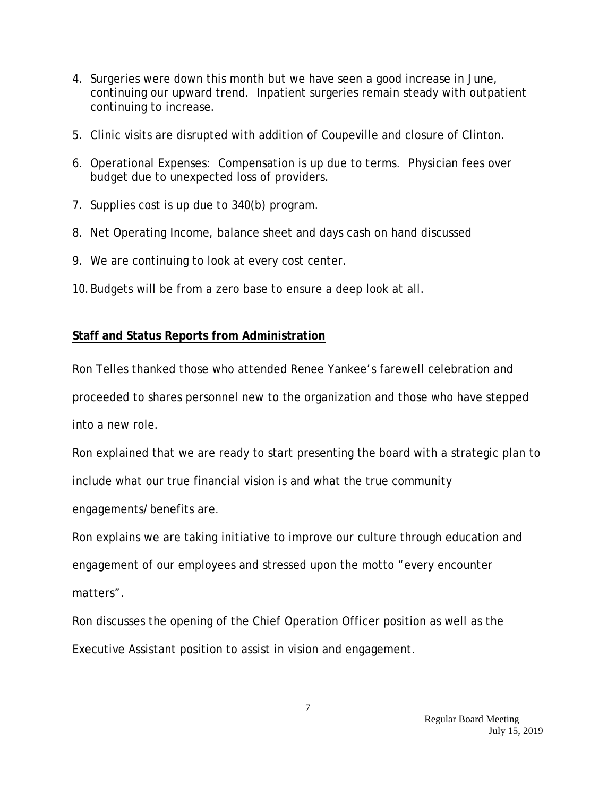- 4. Surgeries were down this month but we have seen a good increase in June, continuing our upward trend. Inpatient surgeries remain steady with outpatient continuing to increase.
- 5. Clinic visits are disrupted with addition of Coupeville and closure of Clinton.
- 6. Operational Expenses: Compensation is up due to terms. Physician fees over budget due to unexpected loss of providers.
- 7. Supplies cost is up due to 340(b) program.
- 8. Net Operating Income, balance sheet and days cash on hand discussed
- 9. We are continuing to look at every cost center.
- 10.Budgets will be from a zero base to ensure a deep look at all.

# **Staff and Status Reports from Administration**

Ron Telles thanked those who attended Renee Yankee's farewell celebration and proceeded to shares personnel new to the organization and those who have stepped into a new role.

Ron explained that we are ready to start presenting the board with a strategic plan to include what our true financial vision is and what the true community

engagements/benefits are.

Ron explains we are taking initiative to improve our culture through education and engagement of our employees and stressed upon the motto "every encounter matters".

Ron discusses the opening of the Chief Operation Officer position as well as the Executive Assistant position to assist in vision and engagement.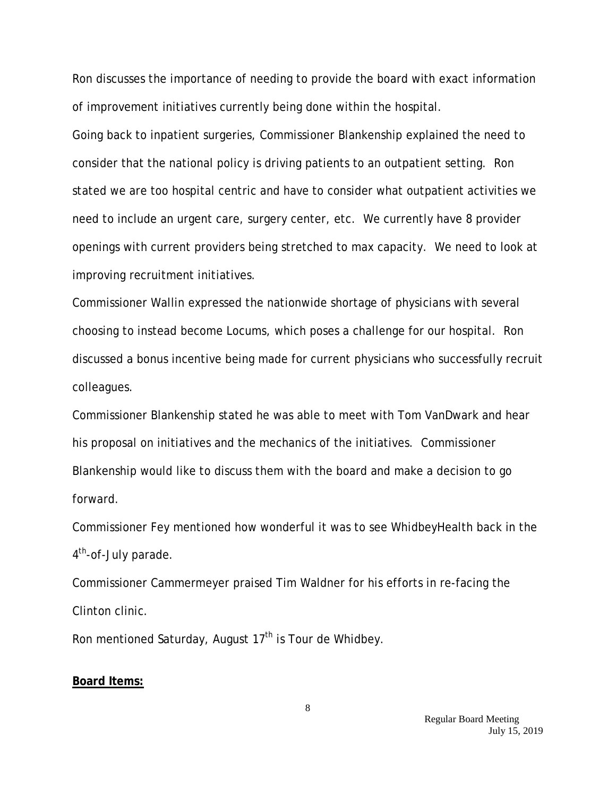Ron discusses the importance of needing to provide the board with exact information of improvement initiatives currently being done within the hospital.

Going back to inpatient surgeries, Commissioner Blankenship explained the need to consider that the national policy is driving patients to an outpatient setting. Ron stated we are too hospital centric and have to consider what outpatient activities we need to include an urgent care, surgery center, etc. We currently have 8 provider openings with current providers being stretched to max capacity. We need to look at improving recruitment initiatives.

Commissioner Wallin expressed the nationwide shortage of physicians with several choosing to instead become Locums, which poses a challenge for our hospital. Ron discussed a bonus incentive being made for current physicians who successfully recruit colleagues.

Commissioner Blankenship stated he was able to meet with Tom VanDwark and hear his proposal on initiatives and the mechanics of the initiatives. Commissioner Blankenship would like to discuss them with the board and make a decision to go forward.

Commissioner Fey mentioned how wonderful it was to see WhidbeyHealth back in the 4<sup>th</sup>-of-July parade.

Commissioner Cammermeyer praised Tim Waldner for his efforts in re-facing the Clinton clinic.

Ron mentioned Saturday, August  $17<sup>th</sup>$  is Tour de Whidbey.

#### **Board Items:**

 Regular Board Meeting July 15, 2019

8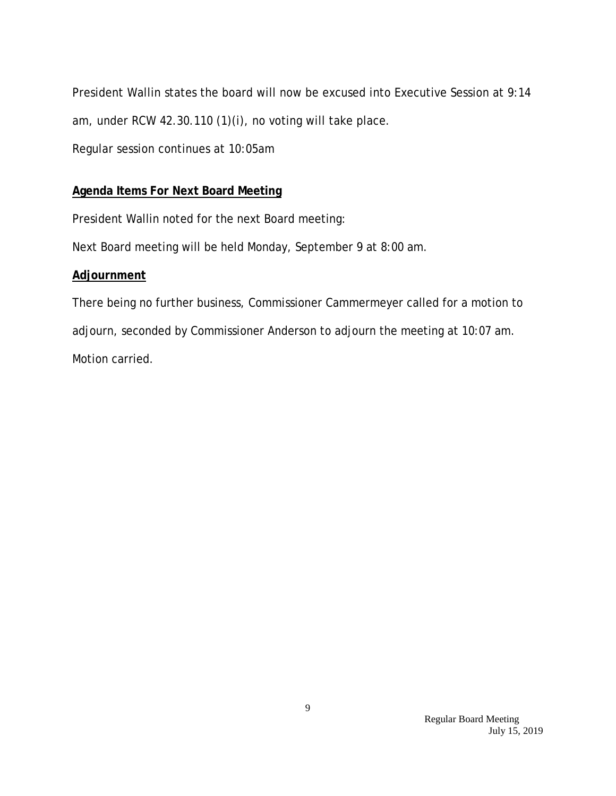President Wallin states the board will now be excused into Executive Session at 9:14 am, under RCW 42.30.110 (1)(i), no voting will take place.

Regular session continues at 10:05am

# **Agenda Items For Next Board Meeting**

President Wallin noted for the next Board meeting:

Next Board meeting will be held Monday, September 9 at 8:00 am.

## **Adjournment**

There being no further business, Commissioner Cammermeyer called for a motion to adjourn, seconded by Commissioner Anderson to adjourn the meeting at 10:07 am. Motion carried.

> Regular Board Meeting July 15, 2019